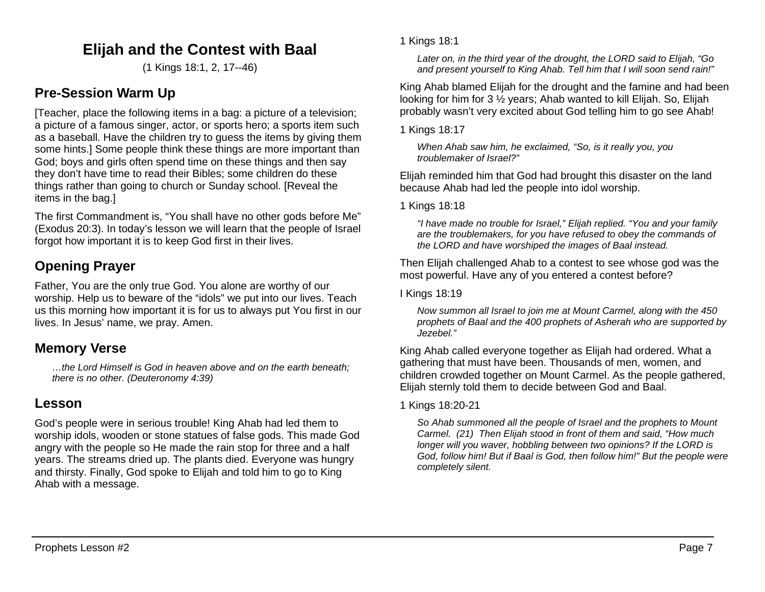# **Elijah and the Contest with Baal**

(1 Kings 18:1, 2, 17--46)

## **Pre-Session Warm Up**

[Teacher, place the following items in a bag: a picture of a television; a picture of a famous singer, actor, or sports hero; a sports item such as a baseball. Have the children try to guess the items by giving them some hints.] Some people think these things are more important than God; boys and girls often spend time on these things and then say they don't have time to read their Bibles; some children do these things rather than going to church or Sunday school. [Reveal the items in the bag.]

The first Commandment is, "You shall have no other gods before Me" (Exodus 20:3). In today's lesson we will learn that the people of Israel forgot how important it is to keep God first in their lives.

# **Opening Prayer**

Father, You are the only true God. You alone are worthy of our worship. Help us to beware of the "idols" we put into our lives. Teach us this morning how important it is for us to always put You first in our lives. In Jesus' name, we pray. Amen.

## **Memory Verse**

*…the Lord Himself is God in heaven above and on the earth beneath; there is no other. (Deuteronomy 4:39)*

## **Lesson**

God's people were in serious trouble! King Ahab had led them to worship idols, wooden or stone statues of false gods. This made God angry with the people so He made the rain stop for three and a half years. The streams dried up. The plants died. Everyone was hungry and thirsty. Finally, God spoke to Elijah and told him to go to King Ahab with a message.

*Later on, in the third year of the drought, the LORD said to Elijah, "Go and present yourself to King Ahab. Tell him that I will soon send rain!"*

King Ahab blamed Elijah for the drought and the famine and had been looking for him for 3 ½ years; Ahab wanted to kill Elijah. So, Elijah probably wasn't very excited about God telling him to go see Ahab!

1 Kings 18:17

*When Ahab saw him, he exclaimed, "So, is it really you, you troublemaker of Israel?"*

Elijah reminded him that God had brought this disaster on the land because Ahab had led the people into idol worship.

1 Kings 18:18

*"I have made no trouble for Israel," Elijah replied. "You and your family are the troublemakers, for you have refused to obey the commands of the LORD and have worshiped the images of Baal instead.*

Then Elijah challenged Ahab to a contest to see whose god was the most powerful. Have any of you entered a contest before?

#### I Kings 18:19

*Now summon all Israel to join me at Mount Carmel, along with the 450 prophets of Baal and the 400 prophets of Asherah who are supported by Jezebel."*

King Ahab called everyone together as Elijah had ordered. What a gathering that must have been. Thousands of men, women, and children crowded together on Mount Carmel. As the people gathered, Elijah sternly told them to decide between God and Baal.

#### 1 Kings 18:20-21

*So Ahab summoned all the people of Israel and the prophets to Mount Carmel. (21) Then Elijah stood in front of them and said, "How much longer will you waver, hobbling between two opinions? If the LORD is God, follow him! But if Baal is God, then follow him!" But the people were completely silent.*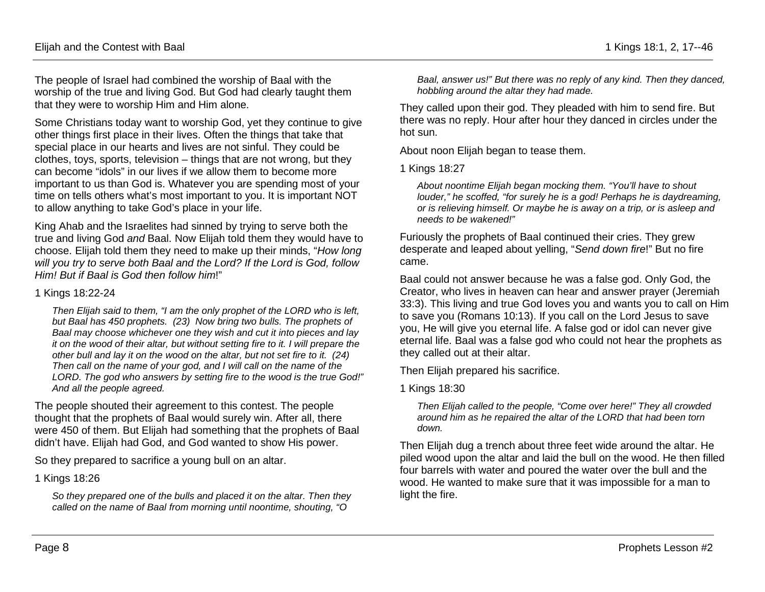The people of Israel had combined the worship of Baal with the worship of the true and living God. But God had clearly taught them that they were to worship Him and Him alone.

Some Christians today want to worship God, yet they continue to give other things first place in their lives. Often the things that take that special place in our hearts and lives are not sinful. They could be clothes, toys, sports, television – things that are not wrong, but they can become "idols" in our lives if we allow them to become more important to us than God is. Whatever you are spending most of your time on tells others what's most important to you. It is important NOT to allow anything to take God's place in your life.

King Ahab and the Israelites had sinned by trying to serve both the true and living God *and* Baal. Now Elijah told them they would have to choose. Elijah told them they need to make up their minds, "*How long will you try to serve both Baal and the Lord? If the Lord is God, follow Him! But if Baal is God then follow him*!"

#### 1 Kings 18:22-24

*Then Elijah said to them, "I am the only prophet of the LORD who is left, but Baal has 450 prophets. (23) Now bring two bulls. The prophets of Baal may choose whichever one they wish and cut it into pieces and lay it on the wood of their altar, but without setting fire to it. I will prepare the other bull and lay it on the wood on the altar, but not set fire to it. (24) Then call on the name of your god, and I will call on the name of the LORD. The god who answers by setting fire to the wood is the true God!" And all the people agreed.*

The people shouted their agreement to this contest. The people thought that the prophets of Baal would surely win. After all, there were 450 of them. But Elijah had something that the prophets of Baal didn't have. Elijah had God, and God wanted to show His power.

So they prepared to sacrifice a young bull on an altar.

#### 1 Kings 18:26

*So they prepared one of the bulls and placed it on the altar. Then they called on the name of Baal from morning until noontime, shouting, "O* 

*Baal, answer us!" But there was no reply of any kind. Then they danced, hobbling around the altar they had made.*

They called upon their god. They pleaded with him to send fire. But there was no reply. Hour after hour they danced in circles under the hot sun.

About noon Elijah began to tease them.

1 Kings 18:27

*About noontime Elijah began mocking them. "You'll have to shout louder," he scoffed, "for surely he is a god! Perhaps he is daydreaming, or is relieving himself. Or maybe he is away on a trip, or is asleep and needs to be wakened!"*

Furiously the prophets of Baal continued their cries. They grew desperate and leaped about yelling, "*Send down fire*!" But no fire came.

Baal could not answer because he was a false god. Only God, the Creator, who lives in heaven can hear and answer prayer (Jeremiah 33:3). This living and true God loves you and wants you to call on Him to save you (Romans 10:13). If you call on the Lord Jesus to save you, He will give you eternal life. A false god or idol can never give eternal life. Baal was a false god who could not hear the prophets as they called out at their altar.

Then Elijah prepared his sacrifice.

1 Kings 18:30

*Then Elijah called to the people, "Come over here!" They all crowded around him as he repaired the altar of the LORD that had been torn down.* 

Then Elijah dug a trench about three feet wide around the altar. He piled wood upon the altar and laid the bull on the wood. He then filled four barrels with water and poured the water over the bull and the wood. He wanted to make sure that it was impossible for a man to light the fire.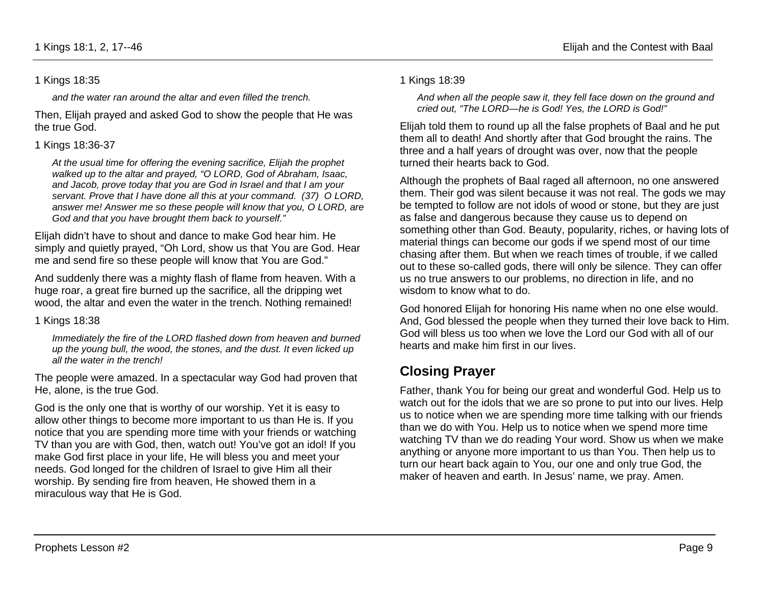#### 1 Kings 18:35

*and the water ran around the altar and even filled the trench.*

Then, Elijah prayed and asked God to show the people that He was the true God.

#### 1 Kings 18:36-37

*At the usual time for offering the evening sacrifice, Elijah the prophet walked up to the altar and prayed, "O LORD, God of Abraham, Isaac, and Jacob, prove today that you are God in Israel and that I am your servant. Prove that I have done all this at your command. (37) O LORD, answer me! Answer me so these people will know that you, O LORD, are God and that you have brought them back to yourself."*

Elijah didn't have to shout and dance to make God hear him. He simply and quietly prayed, "Oh Lord, show us that You are God. Hear me and send fire so these people will know that You are God."

And suddenly there was a mighty flash of flame from heaven. With a huge roar, a great fire burned up the sacrifice, all the dripping wet wood, the altar and even the water in the trench. Nothing remained!

1 Kings 18:38

*Immediately the fire of the LORD flashed down from heaven and burned up the young bull, the wood, the stones, and the dust. It even licked up all the water in the trench!*

The people were amazed. In a spectacular way God had proven that He, alone, is the true God.

God is the only one that is worthy of our worship. Yet it is easy to allow other things to become more important to us than He is. If you notice that you are spending more time with your friends or watching TV than you are with God, then, watch out! You've got an idol! If you make God first place in your life, He will bless you and meet your needs. God longed for the children of Israel to give Him all their worship. By sending fire from heaven, He showed them in a miraculous way that He is God.

#### 1 Kings 18:39

*And when all the people saw it, they fell face down on the ground and cried out, "The LORD—he is God! Yes, the LORD is God!"*

Elijah told them to round up all the false prophets of Baal and he put them all to death! And shortly after that God brought the rains. The three and a half years of drought was over, now that the people turned their hearts back to God.

Although the prophets of Baal raged all afternoon, no one answered them. Their god was silent because it was not real. The gods we may be tempted to follow are not idols of wood or stone, but they are just as false and dangerous because they cause us to depend on something other than God. Beauty, popularity, riches, or having lots of material things can become our gods if we spend most of our time chasing after them. But when we reach times of trouble, if we called out to these so-called gods, there will only be silence. They can offer us no true answers to our problems, no direction in life, and no wisdom to know what to do.

God honored Elijah for honoring His name when no one else would. And, God blessed the people when they turned their love back to Him. God will bless us too when we love the Lord our God with all of our hearts and make him first in our lives.

# **Closing Prayer**

Father, thank You for being our great and wonderful God. Help us to watch out for the idols that we are so prone to put into our lives. Help us to notice when we are spending more time talking with our friends than we do with You. Help us to notice when we spend more time watching TV than we do reading Your word. Show us when we make anything or anyone more important to us than You. Then help us to turn our heart back again to You, our one and only true God, the maker of heaven and earth. In Jesus' name, we pray. Amen.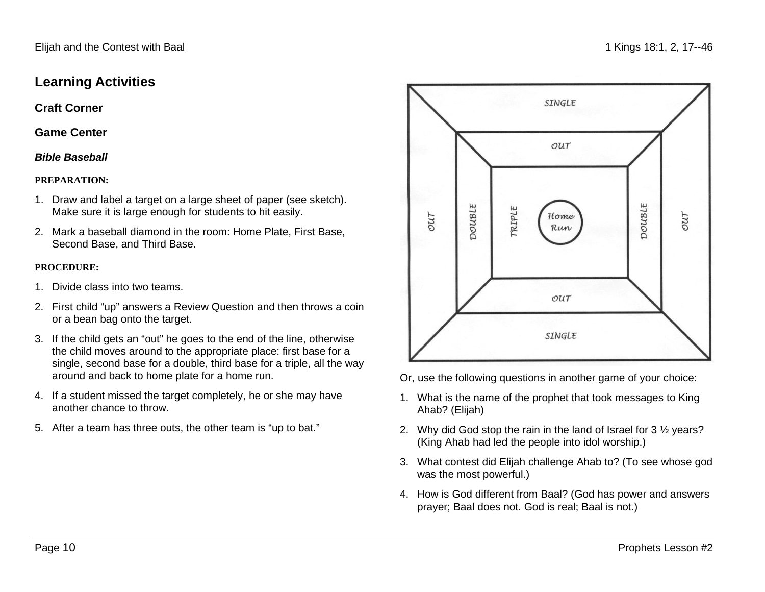## **Learning Activities**

**Craft Corner** 

**Game Center**

#### *Bible Baseball*

#### **PREPARATION:**

- 1. Draw and label a target on a large sheet of paper (see sketch). Make sure it is large enough for students to hit easily.
- 2. Mark a baseball diamond in the room: Home Plate, First Base, Second Base, and Third Base.

#### **PROCEDURE:**

- 1. Divide class into two teams.
- 2. First child "up" answers a Review Question and then throws a coin or a bean bag onto the target.
- 3. If the child gets an "out" he goes to the end of the line, otherwise the child moves around to the appropriate place: first base for a single, second base for a double, third base for a triple, all the way around and back to home plate for a home run.
- 4. If a student missed the target completely, he or she may have another chance to throw.
- 5. After a team has three outs, the other team is "up to bat."



Or, use the following questions in another game of your choice:

- 1. What is the name of the prophet that took messages to King Ahab? (Elijah)
- 2. Why did God stop the rain in the land of Israel for 3 ½ years? (King Ahab had led the people into idol worship.)
- 3. What contest did Elijah challenge Ahab to? (To see whose god was the most powerful.)
- 4. How is God different from Baal? (God has power and answers prayer; Baal does not. God is real; Baal is not.)